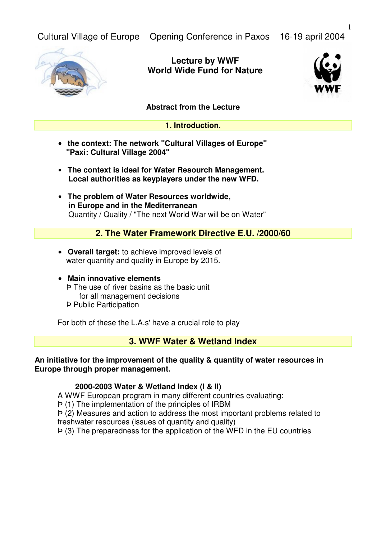Cultural Village of Europe Opening Conference in Paxos 16-19 april 2004



**Lecture by WWF World Wide Fund for Nature**



### **Abstract from the Lecture**

#### **1. Introduction.**

- **the context: The network "Cultural Villages of Europe" "Paxi: Cultural Village 2004"**
- • **The context is ideal for Water Resourch Management. Local authorities as keyplayers under the new WFD.**
- • **The problem of Water Resources worldwide, in Europe and in the Mediterranean** Quantity / Quality / "The next World War will be on Water"

### **2. The Water Framework Directive E.U. /2000/60**

- **Overall target:** to achieve improved levels of water quantity and quality in Europe by 2015.
- **Main innovative elements** Þ The use of river basins as the basic unit for all management decisions Þ Public Participation

For both of these the L.A.s' have a crucial role to play

## **3. WWF Water & Wetland Index**

#### **An initiative for the improvement of the quality & quantity of water resources in Europe through proper management.**

### **2000-2003 Water & Wetland Index (I & II)**

A WWF European program in many different countries evaluating:

Þ (1) The implementation of the principles of IRBM

Þ (2) Measures and action to address the most important problems related to freshwater resources (issues of quantity and quality)

Þ (3) The preparedness for the application of the WFD in the EU countries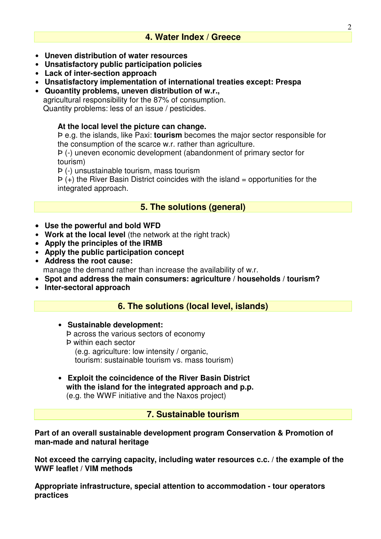# **4. Water Index / Greece**

- • **Uneven distribution of water resources**
- • **Unsatisfactory public participation policies**
- • **Lack of inter-section approach**
- • **Unsatisfactory implementation of international treaties except: Prespa**
- • **Quoantity problems, uneven distribution of w.r.,** agricultural responsibility for the 87% of consumption. Quantity problems: less of an issue / pesticides.

### **At the local level the picture can change.**

Þ e.g. the islands, like Paxi: **tourism** becomes the major sector responsible for the consumption of the scarce w.r. rather than agriculture.

Þ (-) uneven economic development (abandonment of primary sector for tourism)

Þ (-) unsustainable tourism, mass tourism

 $P$  (+) the River Basin District coincides with the island = opportunities for the integrated approach.

## **5. The solutions (general)**

- **Use the powerful and bold WFD**
- Work at the local level (the network at the right track)
- **Apply the principles of the IRMB**
- • **Apply the public participation concept**
- • **Address the root cause:**  manage the demand rather than increase the availability of w.r.
- **Spot and address the main consumers: agriculture / households / tourism?**
- • **Inter-sectoral approach**

## **6. The solutions (local level, islands)**

- • **Sustainable development:** Þ across the various sectors of economy Þ within each sector (e.g. agriculture: low intensity / organic, tourism: sustainable tourism vs. mass tourism)
- • **Exploit the coincidence of the River Basin District with the island for the integrated approach and p.p.** (e.g. the WWF initiative and the Naxos project)

## **7. Sustainable tourism**

**Part of an overall sustainable development program Conservation & Promotion of man-made and natural heritage**

**Not exceed the carrying capacity, including water resources c.c. / the example of the WWF leaflet / VIM methods**

**Appropriate infrastructure, special attention to accommodation - tour operators practices**